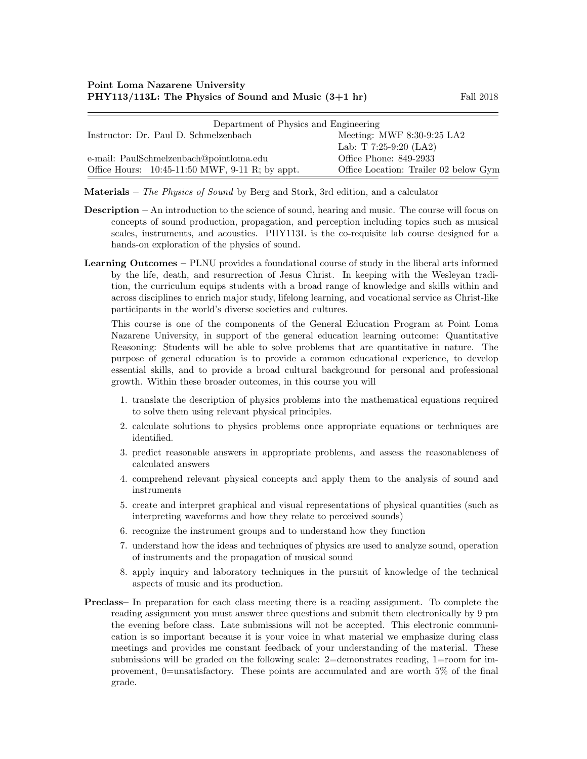| Department of Physics and Engineering             |                                       |  |
|---------------------------------------------------|---------------------------------------|--|
| Instructor: Dr. Paul D. Schmelzenbach             | Meeting: MWF $8:30-9:25$ LA2          |  |
|                                                   | Lab: T $7:25-9:20$ (LA2)              |  |
| e-mail: PaulSchmelzenbach@pointloma.edu           | Office Phone: 849-2933                |  |
| Office Hours: $10:45-11:50$ MWF, 9-11 R; by appt. | Office Location: Trailer 02 below Gym |  |

**Materials** – The Physics of Sound by Berg and Stork, 3rd edition, and a calculator

- Description An introduction to the science of sound, hearing and music. The course will focus on concepts of sound production, propagation, and perception including topics such as musical scales, instruments, and acoustics. PHY113L is the co-requisite lab course designed for a hands-on exploration of the physics of sound.
- Learning Outcomes PLNU provides a foundational course of study in the liberal arts informed by the life, death, and resurrection of Jesus Christ. In keeping with the Wesleyan tradition, the curriculum equips students with a broad range of knowledge and skills within and across disciplines to enrich major study, lifelong learning, and vocational service as Christ-like participants in the world's diverse societies and cultures.

This course is one of the components of the General Education Program at Point Loma Nazarene University, in support of the general education learning outcome: Quantitative Reasoning: Students will be able to solve problems that are quantitative in nature. The purpose of general education is to provide a common educational experience, to develop essential skills, and to provide a broad cultural background for personal and professional growth. Within these broader outcomes, in this course you will

- 1. translate the description of physics problems into the mathematical equations required to solve them using relevant physical principles.
- 2. calculate solutions to physics problems once appropriate equations or techniques are identified.
- 3. predict reasonable answers in appropriate problems, and assess the reasonableness of calculated answers
- 4. comprehend relevant physical concepts and apply them to the analysis of sound and instruments
- 5. create and interpret graphical and visual representations of physical quantities (such as interpreting waveforms and how they relate to perceived sounds)
- 6. recognize the instrument groups and to understand how they function
- 7. understand how the ideas and techniques of physics are used to analyze sound, operation of instruments and the propagation of musical sound
- 8. apply inquiry and laboratory techniques in the pursuit of knowledge of the technical aspects of music and its production.
- Preclass– In preparation for each class meeting there is a reading assignment. To complete the reading assignment you must answer three questions and submit them electronically by 9 pm the evening before class. Late submissions will not be accepted. This electronic communication is so important because it is your voice in what material we emphasize during class meetings and provides me constant feedback of your understanding of the material. These submissions will be graded on the following scale: 2=demonstrates reading, 1=room for improvement, 0=unsatisfactory. These points are accumulated and are worth 5% of the final grade.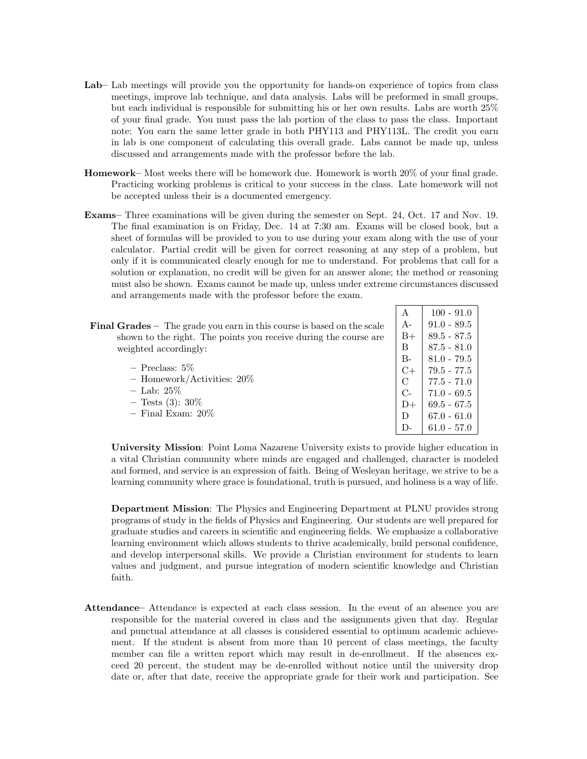- Lab– Lab meetings will provide you the opportunity for hands-on experience of topics from class meetings, improve lab technique, and data analysis. Labs will be preformed in small groups, but each individual is responsible for submitting his or her own results. Labs are worth 25% of your final grade. You must pass the lab portion of the class to pass the class. Important note: You earn the same letter grade in both PHY113 and PHY113L. The credit you earn in lab is one component of calculating this overall grade. Labs cannot be made up, unless discussed and arrangements made with the professor before the lab.
- Homework– Most weeks there will be homework due. Homework is worth 20% of your final grade. Practicing working problems is critical to your success in the class. Late homework will not be accepted unless their is a documented emergency.
- Exams– Three examinations will be given during the semester on Sept. 24, Oct. 17 and Nov. 19. The final examination is on Friday, Dec. 14 at 7:30 am. Exams will be closed book, but a sheet of formulas will be provided to you to use during your exam along with the use of your calculator. Partial credit will be given for correct reasoning at any step of a problem, but only if it is communicated clearly enough for me to understand. For problems that call for a solution or explanation, no credit will be given for an answer alone; the method or reasoning must also be shown. Exams cannot be made up, unless under extreme circumstances discussed and arrangements made with the professor before the exam.

 $| A | 100 - 91.0$ 

|                                                                               | . .           | <b>IVV</b>    |
|-------------------------------------------------------------------------------|---------------|---------------|
| <b>Final Grades</b> – The grade you earn in this course is based on the scale | $A-$          | $91.0 - 89.5$ |
| shown to the right. The points you receive during the course are              | $B+$          | $89.5 - 87.5$ |
| weighted accordingly:                                                         | B             | $87.5 - 81.0$ |
|                                                                               | $B -$         | $81.0 - 79.5$ |
| $-$ Preclass: 5\%                                                             | $C+$          | $79.5 - 77.5$ |
| - Homework/Activities: $20\%$                                                 | $\mathcal{C}$ | $77.5 - 71.0$ |
| $-$ Lab: 25%                                                                  | $C-$          | $71.0 - 69.5$ |
| $-$ Tests (3): 30\%                                                           | $D+$          | $69.5 - 67.5$ |
| $-$ Final Exam: $20\%$                                                        | D             | $67.0 - 61.0$ |
|                                                                               | D-            | $61.0 - 57.0$ |
|                                                                               |               |               |

University Mission: Point Loma Nazarene University exists to provide higher education in a vital Christian community where minds are engaged and challenged, character is modeled and formed, and service is an expression of faith. Being of Wesleyan heritage, we strive to be a learning community where grace is foundational, truth is pursued, and holiness is a way of life.

Department Mission: The Physics and Engineering Department at PLNU provides strong programs of study in the fields of Physics and Engineering. Our students are well prepared for graduate studies and careers in scientific and engineering fields. We emphasize a collaborative learning environment which allows students to thrive academically, build personal confidence, and develop interpersonal skills. We provide a Christian environment for students to learn values and judgment, and pursue integration of modern scientific knowledge and Christian faith.

Attendance– Attendance is expected at each class session. In the event of an absence you are responsible for the material covered in class and the assignments given that day. Regular and punctual attendance at all classes is considered essential to optimum academic achievement. If the student is absent from more than 10 percent of class meetings, the faculty member can file a written report which may result in de-enrollment. If the absences exceed 20 percent, the student may be de-enrolled without notice until the university drop date or, after that date, receive the appropriate grade for their work and participation. See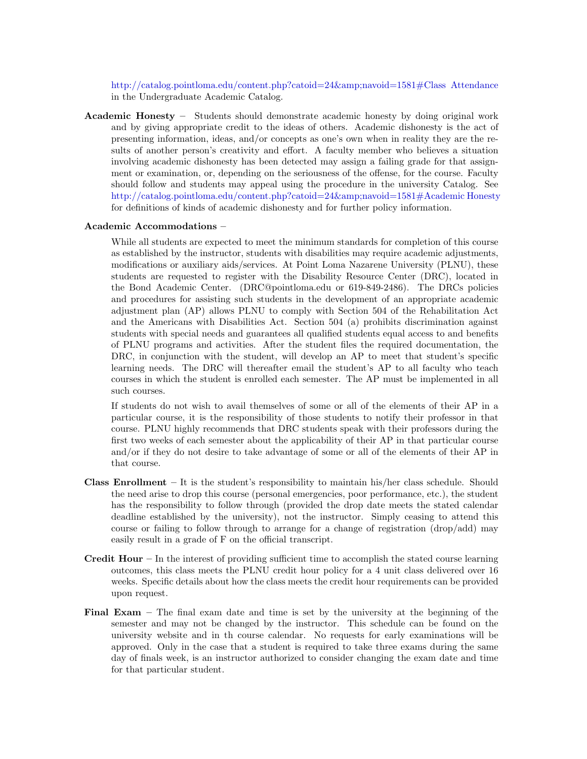[http://catalog.pointloma.edu/content.php?catoid=24&navoid=1581#Class Attendance](http://catalog.pointloma.edu/content.php?catoid=24&navoid=1581) in the Undergraduate Academic Catalog.

Academic Honesty – Students should demonstrate academic honesty by doing original work and by giving appropriate credit to the ideas of others. Academic dishonesty is the act of presenting information, ideas, and/or concepts as one's own when in reality they are the results of another person's creativity and effort. A faculty member who believes a situation involving academic dishonesty has been detected may assign a failing grade for that assignment or examination, or, depending on the seriousness of the offense, for the course. Faculty should follow and students may appeal using the procedure in the university Catalog. See [http://catalog.pointloma.edu/content.php?catoid=24&navoid=1581#Academic Honesty](http://catalog.pointloma.edu/content.php?catoid=24&navoid=1581) for definitions of kinds of academic dishonesty and for further policy information.

## Academic Accommodations –

While all students are expected to meet the minimum standards for completion of this course as established by the instructor, students with disabilities may require academic adjustments, modifications or auxiliary aids/services. At Point Loma Nazarene University (PLNU), these students are requested to register with the Disability Resource Center (DRC), located in the Bond Academic Center. (DRC@pointloma.edu or 619-849-2486). The DRCs policies and procedures for assisting such students in the development of an appropriate academic adjustment plan (AP) allows PLNU to comply with Section 504 of the Rehabilitation Act and the Americans with Disabilities Act. Section 504 (a) prohibits discrimination against students with special needs and guarantees all qualified students equal access to and benefits of PLNU programs and activities. After the student files the required documentation, the DRC, in conjunction with the student, will develop an AP to meet that student's specific learning needs. The DRC will thereafter email the student's AP to all faculty who teach courses in which the student is enrolled each semester. The AP must be implemented in all such courses.

If students do not wish to avail themselves of some or all of the elements of their AP in a particular course, it is the responsibility of those students to notify their professor in that course. PLNU highly recommends that DRC students speak with their professors during the first two weeks of each semester about the applicability of their AP in that particular course and/or if they do not desire to take advantage of some or all of the elements of their AP in that course.

- **Class Enrollment** It is the student's responsibility to maintain his/her class schedule. Should the need arise to drop this course (personal emergencies, poor performance, etc.), the student has the responsibility to follow through (provided the drop date meets the stated calendar deadline established by the university), not the instructor. Simply ceasing to attend this course or failing to follow through to arrange for a change of registration (drop/add) may easily result in a grade of F on the official transcript.
- **Credit Hour** In the interest of providing sufficient time to accomplish the stated course learning outcomes, this class meets the PLNU credit hour policy for a 4 unit class delivered over 16 weeks. Specific details about how the class meets the credit hour requirements can be provided upon request.
- Final Exam The final exam date and time is set by the university at the beginning of the semester and may not be changed by the instructor. This schedule can be found on the university website and in th course calendar. No requests for early examinations will be approved. Only in the case that a student is required to take three exams during the same day of finals week, is an instructor authorized to consider changing the exam date and time for that particular student.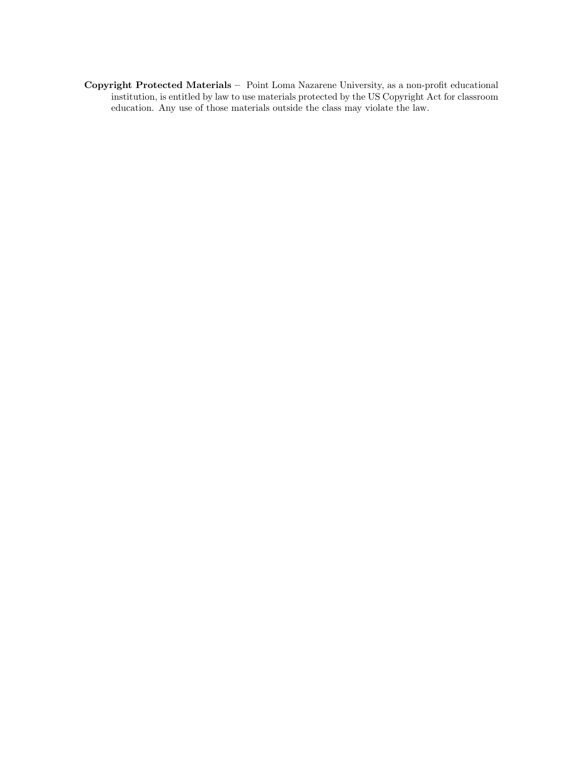Copyright Protected Materials – Point Loma Nazarene University, as a non-profit educational institution, is entitled by law to use materials protected by the US Copyright Act for classroom education. Any use of those materials outside the class may violate the law.